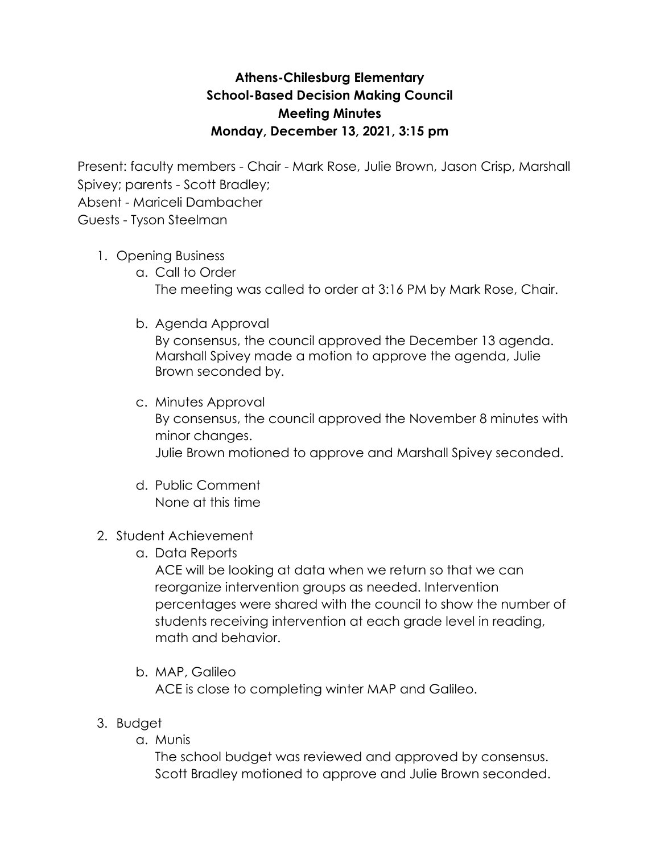## **Athens-Chilesburg Elementary School-Based Decision Making Council Meeting Minutes Monday, December 13, 2021, 3:15 pm**

Present: faculty members - Chair - Mark Rose, Julie Brown, Jason Crisp, Marshall Spivey; parents - Scott Bradley;

Absent - Mariceli Dambacher

Guests - Tyson Steelman

## 1. Opening Business

- a. Call to Order The meeting was called to order at 3:16 PM by Mark Rose, Chair.
- b. Agenda Approval

By consensus, the council approved the December 13 agenda. Marshall Spivey made a motion to approve the agenda, Julie Brown seconded by.

- c. Minutes Approval By consensus, the council approved the November 8 minutes with minor changes. Julie Brown motioned to approve and Marshall Spivey seconded.
- d. Public Comment None at this time
- 2. Student Achievement
	- a. Data Reports

ACE will be looking at data when we return so that we can reorganize intervention groups as needed. Intervention percentages were shared with the council to show the number of students receiving intervention at each grade level in reading, math and behavior.

- b. MAP, Galileo ACE is close to completing winter MAP and Galileo.
- 3. Budget
	- a. Munis

The school budget was reviewed and approved by consensus. Scott Bradley motioned to approve and Julie Brown seconded.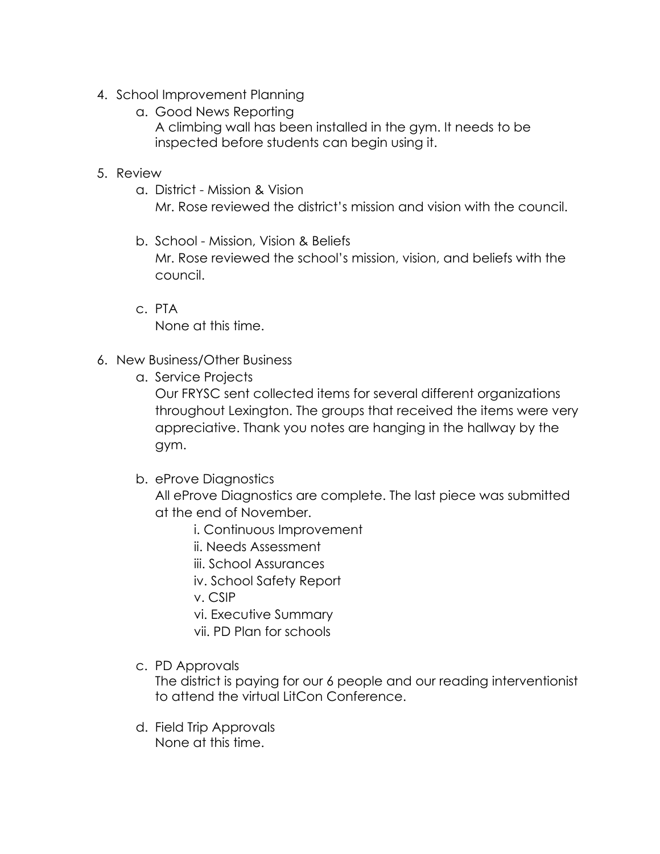- 4. School Improvement Planning
	- a. Good News Reporting
		- A climbing wall has been installed in the gym. It needs to be inspected before students can begin using it.

## 5. Review

a. District - Mission & Vision

Mr. Rose reviewed the district's mission and vision with the council.

- b. School Mission, Vision & Beliefs Mr. Rose reviewed the school's mission, vision, and beliefs with the council.
- c. PTA None at this time.
- 6. New Business/Other Business
	- a. Service Projects

Our FRYSC sent collected items for several different organizations throughout Lexington. The groups that received the items were very appreciative. Thank you notes are hanging in the hallway by the gym.

b. eProve Diagnostics

All eProve Diagnostics are complete. The last piece was submitted at the end of November.

- i. Continuous Improvement
- ii. Needs Assessment
- iii. School Assurances

iv. School Safety Report

v. CSIP

- vi. Executive Summary
- vii. PD Plan for schools
- c. PD Approvals

The district is paying for our 6 people and our reading interventionist to attend the virtual LitCon Conference.

d. Field Trip Approvals None at this time.